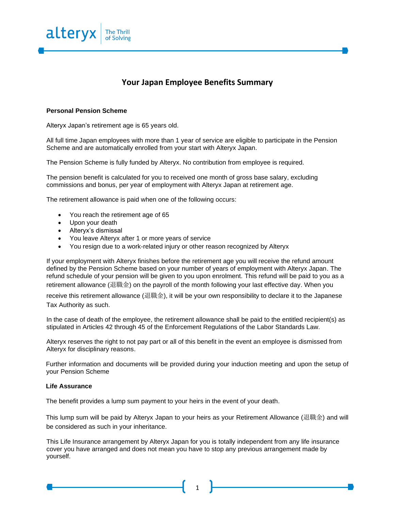

## **Your Japan Employee Benefits Summary**

## **Personal Pension Scheme**

Alteryx Japan's retirement age is 65 years old.

All full time Japan employees with more than 1 year of service are eligible to participate in the Pension Scheme and are automatically enrolled from your start with Alteryx Japan.

The Pension Scheme is fully funded by Alteryx. No contribution from employee is required.

The pension benefit is calculated for you to received one month of gross base salary, excluding commissions and bonus, per year of employment with Alteryx Japan at retirement age.

The retirement allowance is paid when one of the following occurs:

- You reach the retirement age of 65
- Upon your death
- Alteryx's dismissal
- You leave Alteryx after 1 or more years of service
- You resign due to a work-related injury or other reason recognized by Alteryx

If your employment with Alteryx finishes before the retirement age you will receive the refund amount defined by the Pension Scheme based on your number of years of employment with Alteryx Japan. The refund schedule of your pension will be given to you upon enrolment. This refund will be paid to you as a retirement allowance (退職金) on the payroll of the month following your last effective day. When you

receive this retirement allowance (退職金), it will be your own responsibility to declare it to the Japanese Tax Authority as such.

In the case of death of the employee, the retirement allowance shall be paid to the entitled recipient(s) as stipulated in Articles 42 through 45 of the Enforcement Regulations of the Labor Standards Law.

Alteryx reserves the right to not pay part or all of this benefit in the event an employee is dismissed from Alteryx for disciplinary reasons.

Further information and documents will be provided during your induction meeting and upon the setup of your Pension Scheme

## **Life Assurance**

The benefit provides a lump sum payment to your heirs in the event of your death.

This lump sum will be paid by Alteryx Japan to your heirs as your Retirement Allowance (退職金) and will be considered as such in your inheritance.

This Life Insurance arrangement by Alteryx Japan for you is totally independent from any life insurance cover you have arranged and does not mean you have to stop any previous arrangement made by yourself.

1